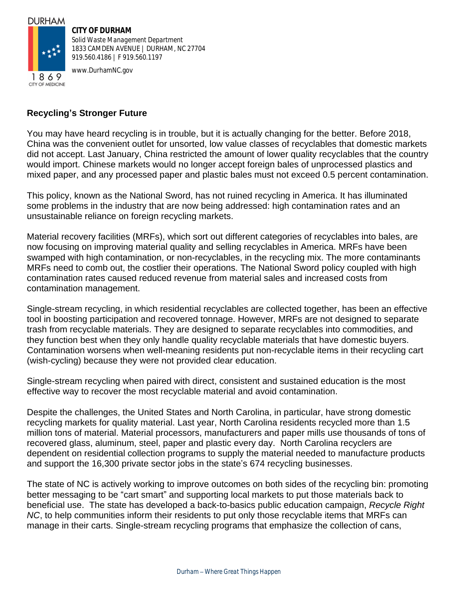## **DURHAM**



**CITY OF DURHAM** *Solid Waste Management Department*

1833 CAMDEN AVENUE | DURHAM, NC 27704 919.560.4186 | F 919.560.1197

www.DurhamNC.gov

## **Recycling's Stronger Future**

You may have heard recycling is in trouble, but it is actually changing for the better. Before 2018, China was the convenient outlet for unsorted, low value classes of recyclables that domestic markets did not accept. Last January, China restricted the amount of lower quality recyclables that the country would import. Chinese markets would no longer accept foreign bales of unprocessed plastics and mixed paper, and any processed paper and plastic bales must not exceed 0.5 percent contamination.

This policy, known as the National Sword, has not ruined recycling in America. It has illuminated some problems in the industry that are now being addressed: high contamination rates and an unsustainable reliance on foreign recycling markets.

Material recovery facilities (MRFs), which sort out different categories of recyclables into bales, are now focusing on improving material quality and selling recyclables in America. MRFs have been swamped with high contamination, or non-recyclables, in the recycling mix. The more contaminants MRFs need to comb out, the costlier their operations. The National Sword policy coupled with high contamination rates caused reduced revenue from material sales and increased costs from contamination management.

Single-stream recycling, in which residential recyclables are collected together, has been an effective tool in boosting participation and recovered tonnage. However, MRFs are not designed to separate trash from recyclable materials. They are designed to separate recyclables into commodities, and they function best when they only handle quality recyclable materials that have domestic buyers. Contamination worsens when well-meaning residents put non-recyclable items in their recycling cart (wish-cycling) because they were not provided clear education.

Single-stream recycling when paired with direct, consistent and sustained education is the most effective way to recover the most recyclable material and avoid contamination.

Despite the challenges, the United States and North Carolina, in particular, have strong domestic recycling markets for quality material. Last year, North Carolina residents recycled more than 1.5 million tons of material. Material processors, manufacturers and paper mills use thousands of tons of recovered glass, aluminum, steel, paper and plastic every day. North Carolina recyclers are dependent on residential collection programs to supply the material needed to manufacture products and support the 16,300 private sector jobs in the state's 674 recycling businesses.

The state of NC is actively working to improve outcomes on both sides of the recycling bin: promoting better messaging to be "cart smart" and supporting local markets to put those materials back to beneficial use. The state has developed a back-to-basics public education campaign, *Recycle Right NC*, to help communities inform their residents to put only those recyclable items that MRFs can manage in their carts. Single-stream recycling programs that emphasize the collection of cans,